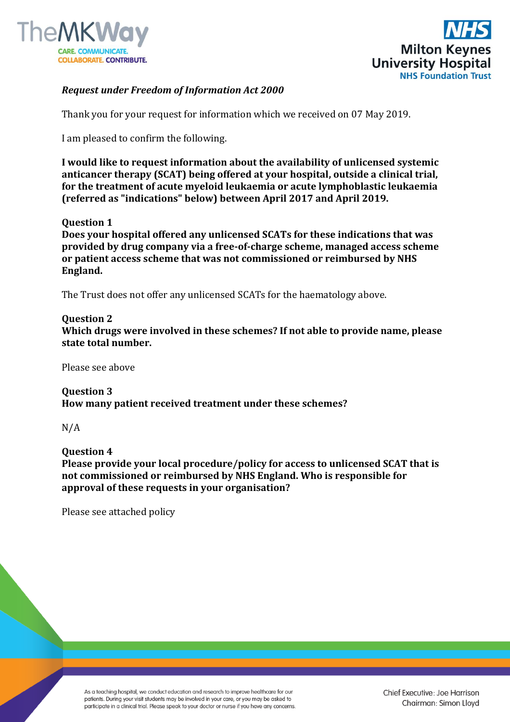



## *Request under Freedom of Information Act 2000*

Thank you for your request for information which we received on 07 May 2019.

I am pleased to confirm the following.

**I would like to request information about the availability of unlicensed systemic anticancer therapy (SCAT) being offered at your hospital, outside a clinical trial, for the treatment of acute myeloid leukaemia or acute lymphoblastic leukaemia (referred as "indications" below) between April 2017 and April 2019.**

## **Question 1**

**Does your hospital offered any unlicensed SCATs for these indications that was provided by drug company via a free-of-charge scheme, managed access scheme or patient access scheme that was not commissioned or reimbursed by NHS England.**

The Trust does not offer any unlicensed SCATs for the haematology above.

## **Question 2**

**Which drugs were involved in these schemes? If not able to provide name, please state total number.**

Please see above

**Question 3 How many patient received treatment under these schemes?**

N/A

**Question 4 Please provide your local procedure/policy for access to unlicensed SCAT that is not commissioned or reimbursed by NHS England. Who is responsible for approval of these requests in your organisation?**

Please see attached policy

As a teaching hospital, we conduct education and research to improve healthcare for our patients. During your visit students may be involved in your care, or you may be asked to participate in a clinical trial. Please speak to your doctor or nurse if you have any concerns.